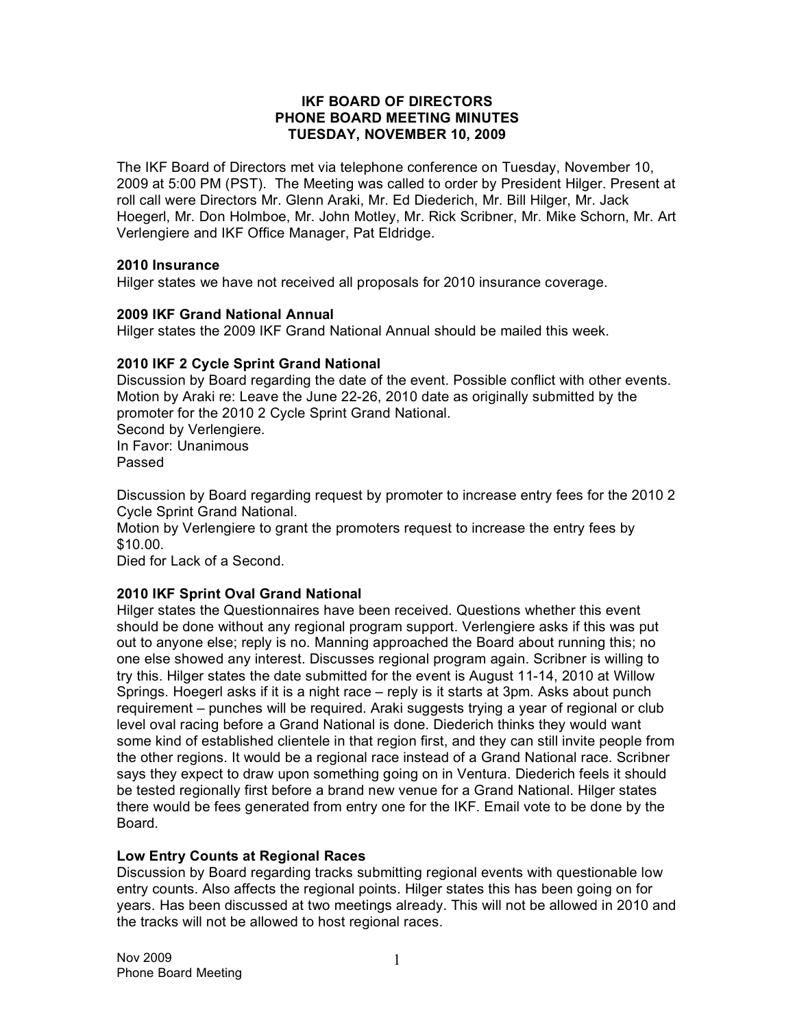# **IKF BOARD OF DIRECTORS PHONE BOARD MEETING MINUTES TUESDAY, NOVEMBER 10, 2009**

The IKF Board of Directors met via telephone conference on Tuesday, November 10, 2009 at 5:00 PM (PST). The Meeting was called to order by President Hilger. Present at roll call were Directors Mr. Glenn Araki, Mr. Ed Diederich, Mr. Bill Hilger, Mr. Jack Hoegerl, Mr. Don Holmboe, Mr. John Motley, Mr. Rick Scribner, Mr. Mike Schorn, Mr. Art Verlengiere and IKF Office Manager, Pat Eldridge.

# **2010 Insurance**

Hilger states we have not received all proposals for 2010 insurance coverage.

# **2009 IKF Grand National Annual**

Hilger states the 2009 IKF Grand National Annual should be mailed this week.

# **2010 IKF 2 Cycle Sprint Grand National**

Discussion by Board regarding the date of the event. Possible conflict with other events. Motion by Araki re: Leave the June 22-26, 2010 date as originally submitted by the promoter for the 2010 2 Cycle Sprint Grand National. Second by Verlengiere.

In Favor: Unanimous Passed

Discussion by Board regarding request by promoter to increase entry fees for the 2010 2 Cycle Sprint Grand National.

Motion by Verlengiere to grant the promoters request to increase the entry fees by \$10.00.

Died for Lack of a Second.

# **2010 IKF Sprint Oval Grand National**

Hilger states the Questionnaires have been received. Questions whether this event should be done without any regional program support. Verlengiere asks if this was put out to anyone else; reply is no. Manning approached the Board about running this; no one else showed any interest. Discusses regional program again. Scribner is willing to try this. Hilger states the date submitted for the event is August 11-14, 2010 at Willow Springs. Hoegerl asks if it is a night race – reply is it starts at 3pm. Asks about punch requirement – punches will be required. Araki suggests trying a year of regional or club level oval racing before a Grand National is done. Diederich thinks they would want some kind of established clientele in that region first, and they can still invite people from the other regions. It would be a regional race instead of a Grand National race. Scribner says they expect to draw upon something going on in Ventura. Diederich feels it should be tested regionally first before a brand new venue for a Grand National. Hilger states there would be fees generated from entry one for the IKF. Email vote to be done by the Board.

# **Low Entry Counts at Regional Races**

Discussion by Board regarding tracks submitting regional events with questionable low entry counts. Also affects the regional points. Hilger states this has been going on for years. Has been discussed at two meetings already. This will not be allowed in 2010 and the tracks will not be allowed to host regional races.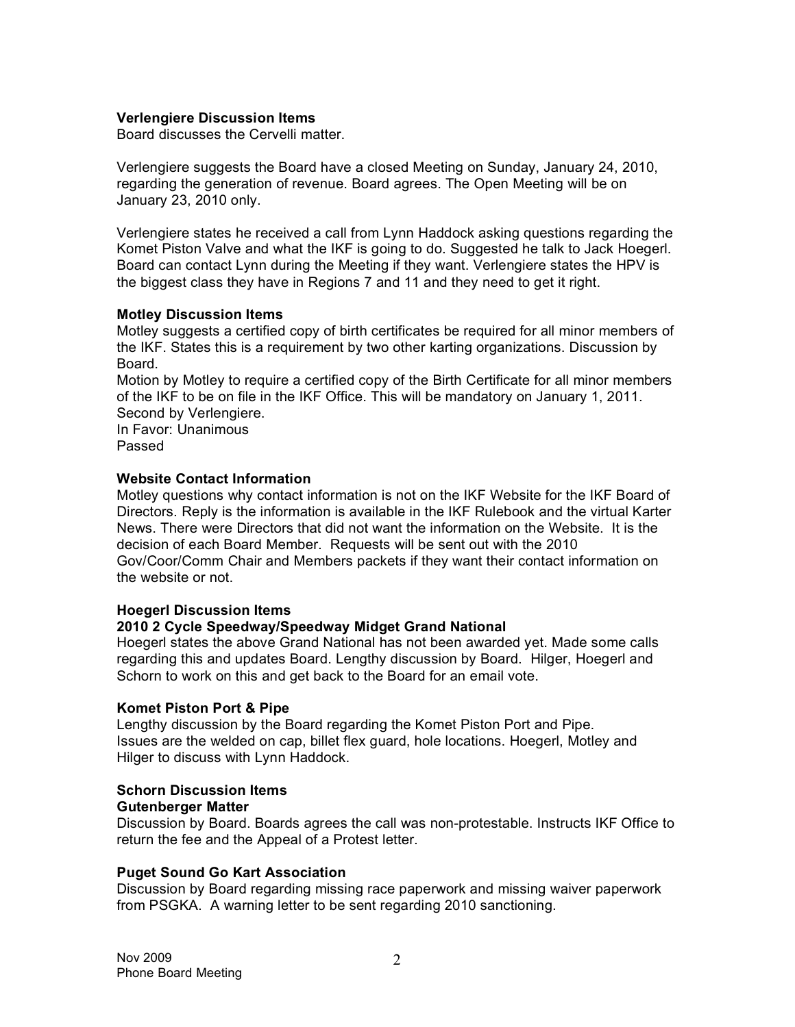# **Verlengiere Discussion Items**

Board discusses the Cervelli matter.

Verlengiere suggests the Board have a closed Meeting on Sunday, January 24, 2010, regarding the generation of revenue. Board agrees. The Open Meeting will be on January 23, 2010 only.

Verlengiere states he received a call from Lynn Haddock asking questions regarding the Komet Piston Valve and what the IKF is going to do. Suggested he talk to Jack Hoegerl. Board can contact Lynn during the Meeting if they want. Verlengiere states the HPV is the biggest class they have in Regions 7 and 11 and they need to get it right.

# **Motley Discussion Items**

Motley suggests a certified copy of birth certificates be required for all minor members of the IKF. States this is a requirement by two other karting organizations. Discussion by Board.

Motion by Motley to require a certified copy of the Birth Certificate for all minor members of the IKF to be on file in the IKF Office. This will be mandatory on January 1, 2011. Second by Verlengiere.

In Favor: Unanimous Passed

# **Website Contact Information**

Motley questions why contact information is not on the IKF Website for the IKF Board of Directors. Reply is the information is available in the IKF Rulebook and the virtual Karter News. There were Directors that did not want the information on the Website. It is the decision of each Board Member. Requests will be sent out with the 2010 Gov/Coor/Comm Chair and Members packets if they want their contact information on the website or not.

### **Hoegerl Discussion Items**

# **2010 2 Cycle Speedway/Speedway Midget Grand National**

Hoegerl states the above Grand National has not been awarded yet. Made some calls regarding this and updates Board. Lengthy discussion by Board. Hilger, Hoegerl and Schorn to work on this and get back to the Board for an email vote.

### **Komet Piston Port & Pipe**

Lengthy discussion by the Board regarding the Komet Piston Port and Pipe. Issues are the welded on cap, billet flex guard, hole locations. Hoegerl, Motley and Hilger to discuss with Lynn Haddock.

#### **Schorn Discussion Items Gutenberger Matter**

Discussion by Board. Boards agrees the call was non-protestable. Instructs IKF Office to return the fee and the Appeal of a Protest letter.

# **Puget Sound Go Kart Association**

Discussion by Board regarding missing race paperwork and missing waiver paperwork from PSGKA. A warning letter to be sent regarding 2010 sanctioning.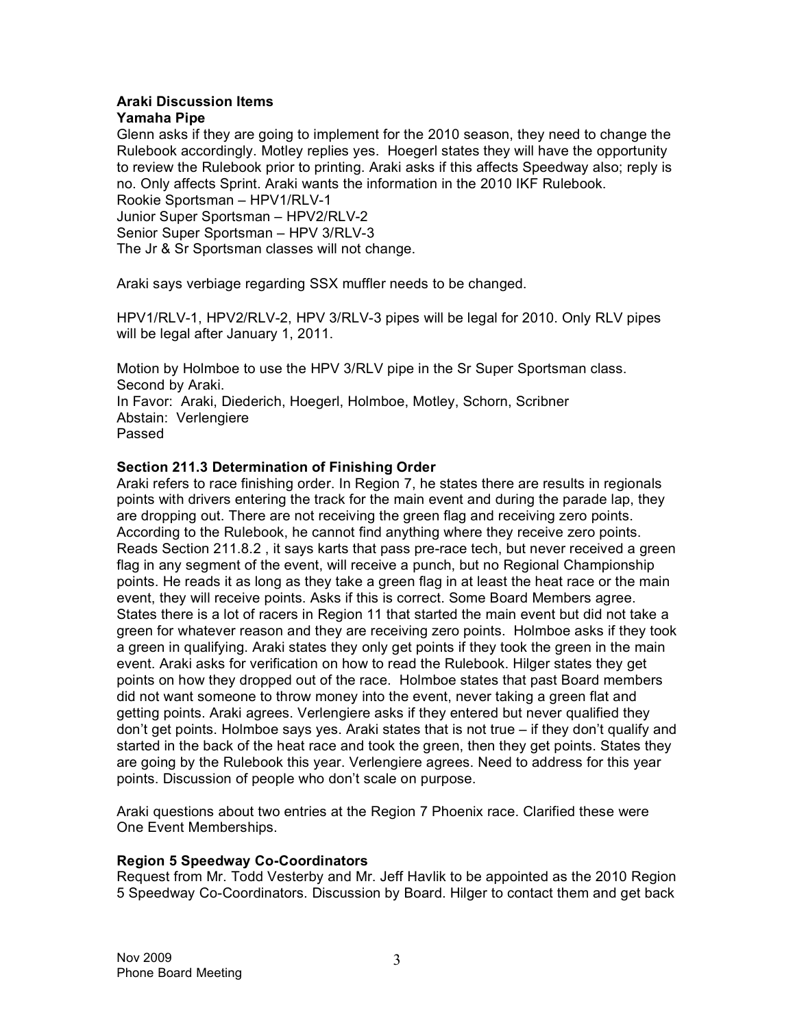#### **Araki Discussion Items Yamaha Pipe**

Glenn asks if they are going to implement for the 2010 season, they need to change the Rulebook accordingly. Motley replies yes. Hoegerl states they will have the opportunity to review the Rulebook prior to printing. Araki asks if this affects Speedway also; reply is no. Only affects Sprint. Araki wants the information in the 2010 IKF Rulebook. Rookie Sportsman – HPV1/RLV-1

Junior Super Sportsman – HPV2/RLV-2 Senior Super Sportsman – HPV 3/RLV-3 The Jr & Sr Sportsman classes will not change.

Araki says verbiage regarding SSX muffler needs to be changed.

HPV1/RLV-1, HPV2/RLV-2, HPV 3/RLV-3 pipes will be legal for 2010. Only RLV pipes will be legal after January 1, 2011.

Motion by Holmboe to use the HPV 3/RLV pipe in the Sr Super Sportsman class. Second by Araki.

In Favor: Araki, Diederich, Hoegerl, Holmboe, Motley, Schorn, Scribner Abstain: Verlengiere Passed

# **Section 211.3 Determination of Finishing Order**

Araki refers to race finishing order. In Region 7, he states there are results in regionals points with drivers entering the track for the main event and during the parade lap, they are dropping out. There are not receiving the green flag and receiving zero points. According to the Rulebook, he cannot find anything where they receive zero points. Reads Section 211.8.2 , it says karts that pass pre-race tech, but never received a green flag in any segment of the event, will receive a punch, but no Regional Championship points. He reads it as long as they take a green flag in at least the heat race or the main event, they will receive points. Asks if this is correct. Some Board Members agree. States there is a lot of racers in Region 11 that started the main event but did not take a green for whatever reason and they are receiving zero points. Holmboe asks if they took a green in qualifying. Araki states they only get points if they took the green in the main event. Araki asks for verification on how to read the Rulebook. Hilger states they get points on how they dropped out of the race. Holmboe states that past Board members did not want someone to throw money into the event, never taking a green flat and getting points. Araki agrees. Verlengiere asks if they entered but never qualified they don't get points. Holmboe says yes. Araki states that is not true – if they don't qualify and started in the back of the heat race and took the green, then they get points. States they are going by the Rulebook this year. Verlengiere agrees. Need to address for this year points. Discussion of people who don't scale on purpose.

Araki questions about two entries at the Region 7 Phoenix race. Clarified these were One Event Memberships.

# **Region 5 Speedway Co-Coordinators**

Request from Mr. Todd Vesterby and Mr. Jeff Havlik to be appointed as the 2010 Region 5 Speedway Co-Coordinators. Discussion by Board. Hilger to contact them and get back